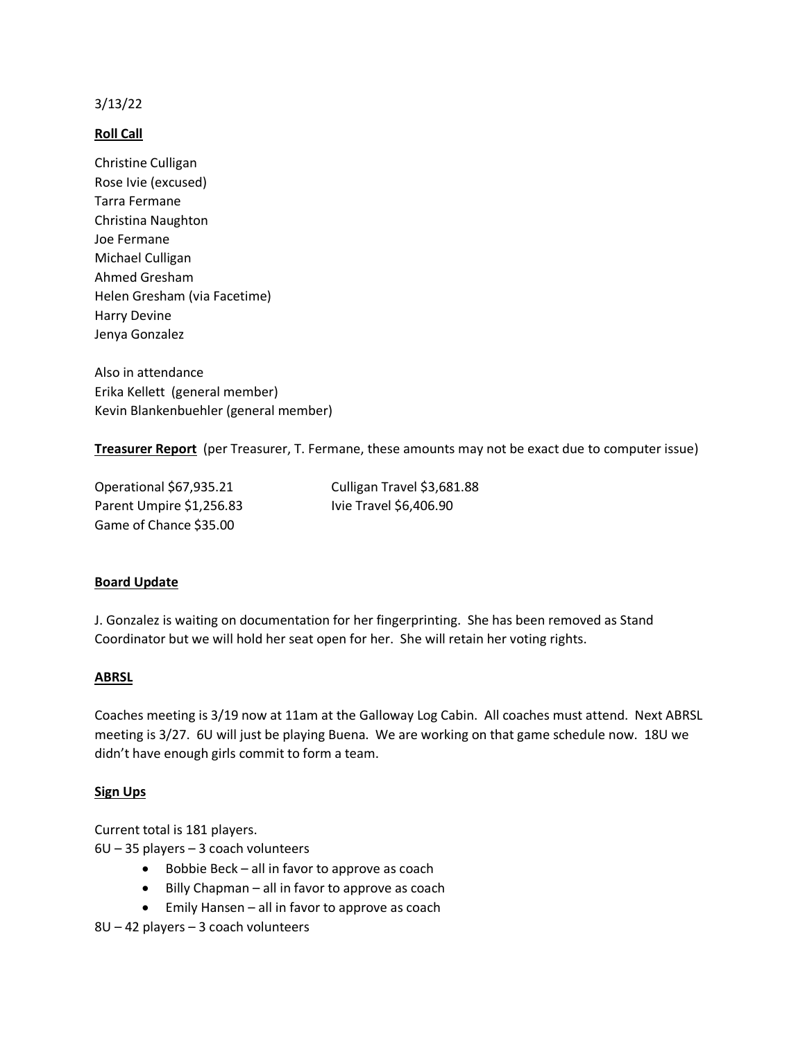## 3/13/22

## **Roll Call**

Christine Culligan Rose Ivie (excused) Tarra Fermane Christina Naughton Joe Fermane Michael Culligan Ahmed Gresham Helen Gresham (via Facetime) Harry Devine Jenya Gonzalez

Also in attendance Erika Kellett (general member) Kevin Blankenbuehler (general member)

**Treasurer Report** (per Treasurer, T. Fermane, these amounts may not be exact due to computer issue)

Operational \$67,935.21 Culligan Travel \$3,681.88 Parent Umpire \$1,256.83 Ivie Travel \$6,406.90 Game of Chance \$35.00

# **Board Update**

J. Gonzalez is waiting on documentation for her fingerprinting. She has been removed as Stand Coordinator but we will hold her seat open for her. She will retain her voting rights.

## **ABRSL**

Coaches meeting is 3/19 now at 11am at the Galloway Log Cabin. All coaches must attend. Next ABRSL meeting is 3/27. 6U will just be playing Buena. We are working on that game schedule now. 18U we didn't have enough girls commit to form a team.

## **Sign Ups**

Current total is 181 players.

6U – 35 players – 3 coach volunteers

- Bobbie Beck all in favor to approve as coach
- Billy Chapman all in favor to approve as coach
- Emily Hansen all in favor to approve as coach

8U – 42 players – 3 coach volunteers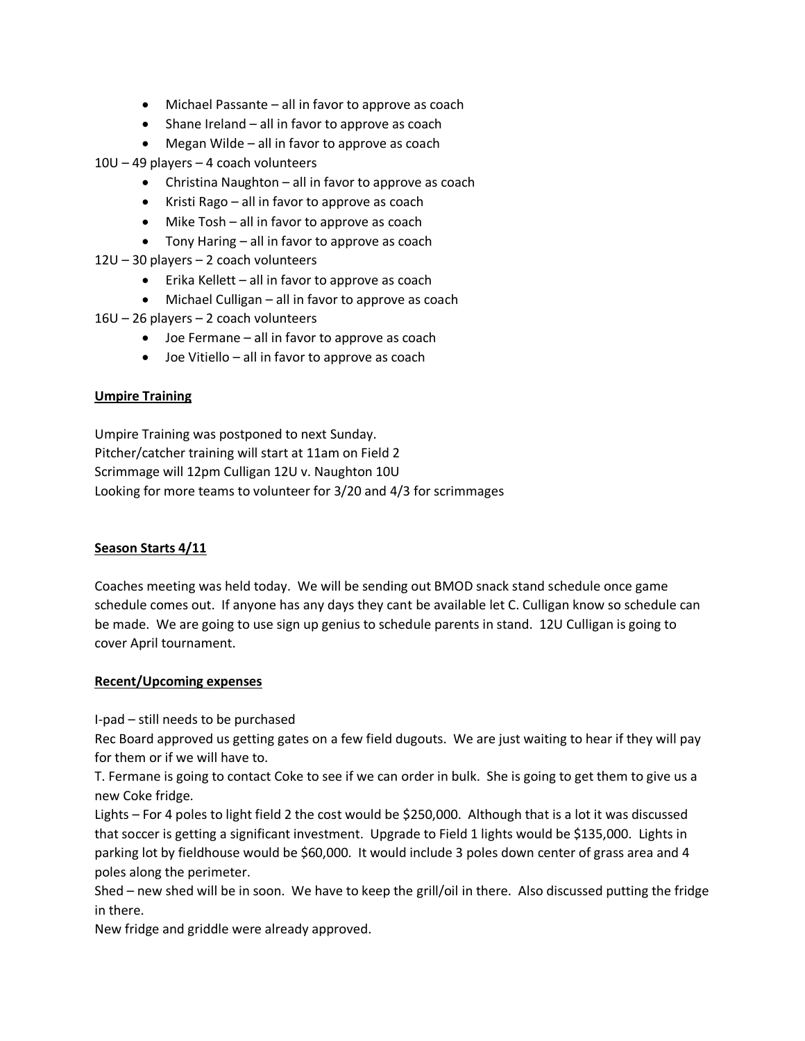- Michael Passante all in favor to approve as coach
- Shane Ireland all in favor to approve as coach
- Megan Wilde all in favor to approve as coach

10U – 49 players – 4 coach volunteers

- Christina Naughton all in favor to approve as coach
- Kristi Rago all in favor to approve as coach
- Mike Tosh all in favor to approve as coach
- Tony Haring all in favor to approve as coach
- 12U 30 players 2 coach volunteers
	- Erika Kellett all in favor to approve as coach
	- Michael Culligan all in favor to approve as coach
- 16U 26 players 2 coach volunteers
	- Joe Fermane all in favor to approve as coach
	- Joe Vitiello all in favor to approve as coach

## **Umpire Training**

Umpire Training was postponed to next Sunday. Pitcher/catcher training will start at 11am on Field 2 Scrimmage will 12pm Culligan 12U v. Naughton 10U Looking for more teams to volunteer for 3/20 and 4/3 for scrimmages

## **Season Starts 4/11**

Coaches meeting was held today. We will be sending out BMOD snack stand schedule once game schedule comes out. If anyone has any days they cant be available let C. Culligan know so schedule can be made. We are going to use sign up genius to schedule parents in stand. 12U Culligan is going to cover April tournament.

## **Recent/Upcoming expenses**

I-pad – still needs to be purchased

Rec Board approved us getting gates on a few field dugouts. We are just waiting to hear if they will pay for them or if we will have to.

T. Fermane is going to contact Coke to see if we can order in bulk. She is going to get them to give us a new Coke fridge.

Lights – For 4 poles to light field 2 the cost would be \$250,000. Although that is a lot it was discussed that soccer is getting a significant investment. Upgrade to Field 1 lights would be \$135,000. Lights in parking lot by fieldhouse would be \$60,000. It would include 3 poles down center of grass area and 4 poles along the perimeter.

Shed – new shed will be in soon. We have to keep the grill/oil in there. Also discussed putting the fridge in there.

New fridge and griddle were already approved.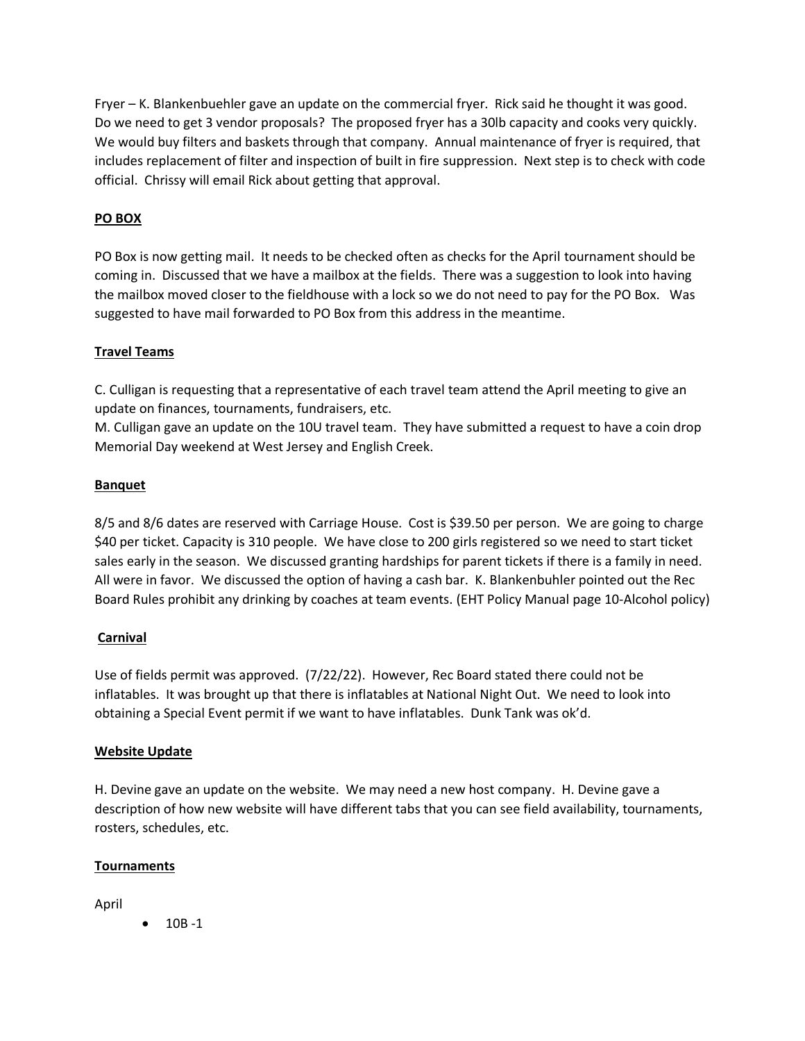Fryer – K. Blankenbuehler gave an update on the commercial fryer. Rick said he thought it was good. Do we need to get 3 vendor proposals? The proposed fryer has a 30lb capacity and cooks very quickly. We would buy filters and baskets through that company. Annual maintenance of fryer is required, that includes replacement of filter and inspection of built in fire suppression. Next step is to check with code official. Chrissy will email Rick about getting that approval.

# **PO BOX**

PO Box is now getting mail. It needs to be checked often as checks for the April tournament should be coming in. Discussed that we have a mailbox at the fields. There was a suggestion to look into having the mailbox moved closer to the fieldhouse with a lock so we do not need to pay for the PO Box. Was suggested to have mail forwarded to PO Box from this address in the meantime.

# **Travel Teams**

C. Culligan is requesting that a representative of each travel team attend the April meeting to give an update on finances, tournaments, fundraisers, etc.

M. Culligan gave an update on the 10U travel team. They have submitted a request to have a coin drop Memorial Day weekend at West Jersey and English Creek.

# **Banquet**

8/5 and 8/6 dates are reserved with Carriage House. Cost is \$39.50 per person. We are going to charge \$40 per ticket. Capacity is 310 people. We have close to 200 girls registered so we need to start ticket sales early in the season. We discussed granting hardships for parent tickets if there is a family in need. All were in favor. We discussed the option of having a cash bar. K. Blankenbuhler pointed out the Rec Board Rules prohibit any drinking by coaches at team events. (EHT Policy Manual page 10-Alcohol policy)

# **Carnival**

Use of fields permit was approved. (7/22/22). However, Rec Board stated there could not be inflatables. It was brought up that there is inflatables at National Night Out. We need to look into obtaining a Special Event permit if we want to have inflatables. Dunk Tank was ok'd.

# **Website Update**

H. Devine gave an update on the website. We may need a new host company. H. Devine gave a description of how new website will have different tabs that you can see field availability, tournaments, rosters, schedules, etc.

# **Tournaments**

April

• 10B -1